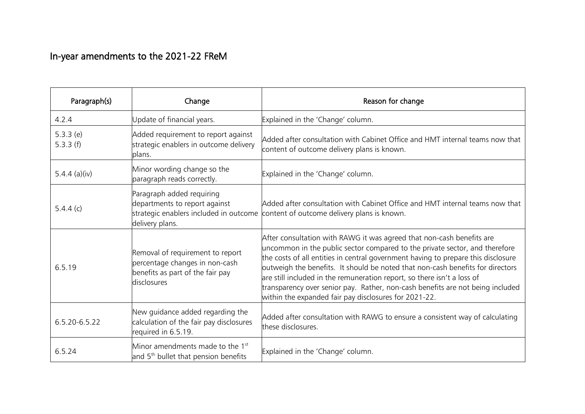## In-year amendments to the 2021-22 FReM

| Paragraph(s)         | Change                                                                                                                | Reason for change                                                                                                                                                                                                                                                                                                                                                                                                                                                                                                                                 |
|----------------------|-----------------------------------------------------------------------------------------------------------------------|---------------------------------------------------------------------------------------------------------------------------------------------------------------------------------------------------------------------------------------------------------------------------------------------------------------------------------------------------------------------------------------------------------------------------------------------------------------------------------------------------------------------------------------------------|
| 4.2.4                | Update of financial years.                                                                                            | Explained in the 'Change' column.                                                                                                                                                                                                                                                                                                                                                                                                                                                                                                                 |
| 5.3.3(e)<br>5.3.3(f) | Added requirement to report against<br>strategic enablers in outcome delivery<br>plans.                               | Added after consultation with Cabinet Office and HMT internal teams now that<br>content of outcome delivery plans is known.                                                                                                                                                                                                                                                                                                                                                                                                                       |
| 5.4.4 (a)(iv)        | Minor wording change so the<br>paragraph reads correctly.                                                             | Explained in the 'Change' column.                                                                                                                                                                                                                                                                                                                                                                                                                                                                                                                 |
| 5.4.4(c)             | Paragraph added requiring<br>departments to report against<br>delivery plans.                                         | Added after consultation with Cabinet Office and HMT internal teams now that<br>strategic enablers included in outcome content of outcome delivery plans is known.                                                                                                                                                                                                                                                                                                                                                                                |
| 6.5.19               | Removal of requirement to report<br>percentage changes in non-cash<br>benefits as part of the fair pay<br>disclosures | After consultation with RAWG it was agreed that non-cash benefits are<br>uncommon in the public sector compared to the private sector, and therefore<br>the costs of all entities in central government having to prepare this disclosure<br>outweigh the benefits. It should be noted that non-cash benefits for directors<br>are still included in the remuneration report, so there isn't a loss of<br>transparency over senior pay. Rather, non-cash benefits are not being included<br>within the expanded fair pay disclosures for 2021-22. |
| 6.5.20-6.5.22        | New guidance added regarding the<br>calculation of the fair pay disclosures<br>required in 6.5.19.                    | Added after consultation with RAWG to ensure a consistent way of calculating<br>these disclosures.                                                                                                                                                                                                                                                                                                                                                                                                                                                |
| 6.5.24               | Minor amendments made to the 1 <sup>st</sup><br>and 5 <sup>th</sup> bullet that pension benefits                      | Explained in the 'Change' column.                                                                                                                                                                                                                                                                                                                                                                                                                                                                                                                 |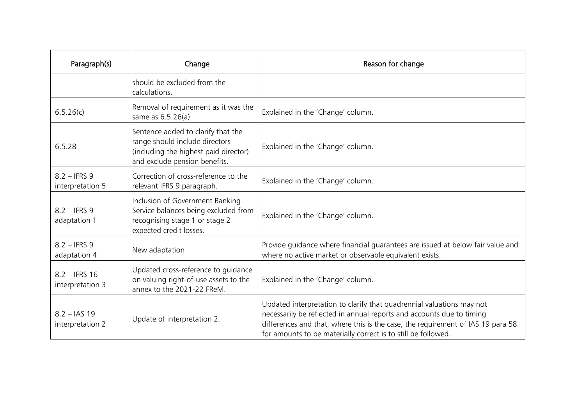| Paragraph(s)                        | Change                                                                                                                                         | Reason for change                                                                                                                                                                                                                                                                                  |
|-------------------------------------|------------------------------------------------------------------------------------------------------------------------------------------------|----------------------------------------------------------------------------------------------------------------------------------------------------------------------------------------------------------------------------------------------------------------------------------------------------|
|                                     | should be excluded from the<br>calculations.                                                                                                   |                                                                                                                                                                                                                                                                                                    |
| 6.5.26(c)                           | Removal of requirement as it was the<br>same as 6.5.26(a)                                                                                      | Explained in the 'Change' column.                                                                                                                                                                                                                                                                  |
| 6.5.28                              | Sentence added to clarify that the<br>range should include directors<br>(including the highest paid director)<br>and exclude pension benefits. | Explained in the 'Change' column.                                                                                                                                                                                                                                                                  |
| $8.2 -$ IFRS 9<br>interpretation 5  | Correction of cross-reference to the<br>relevant IFRS 9 paragraph.                                                                             | Explained in the 'Change' column.                                                                                                                                                                                                                                                                  |
| $8.2 -$ IFRS 9<br>adaptation 1      | Inclusion of Government Banking<br>Service balances being excluded from<br>recognising stage 1 or stage 2<br>expected credit losses.           | Explained in the 'Change' column.                                                                                                                                                                                                                                                                  |
| $8.2 -$ IFRS 9<br>adaptation 4      | New adaptation                                                                                                                                 | Provide guidance where financial guarantees are issued at below fair value and<br>where no active market or observable equivalent exists.                                                                                                                                                          |
| $8.2 -$ IFRS 16<br>interpretation 3 | Updated cross-reference to quidance<br>on valuing right-of-use assets to the<br>lannex to the 2021-22 FReM.                                    | Explained in the 'Change' column.                                                                                                                                                                                                                                                                  |
| $8.2 - IAS$ 19<br>interpretation 2  | Update of interpretation 2.                                                                                                                    | Updated interpretation to clarify that quadrennial valuations may not<br>necessarily be reflected in annual reports and accounts due to timing<br>differences and that, where this is the case, the requirement of IAS 19 para 58<br>for amounts to be materially correct is to still be followed. |